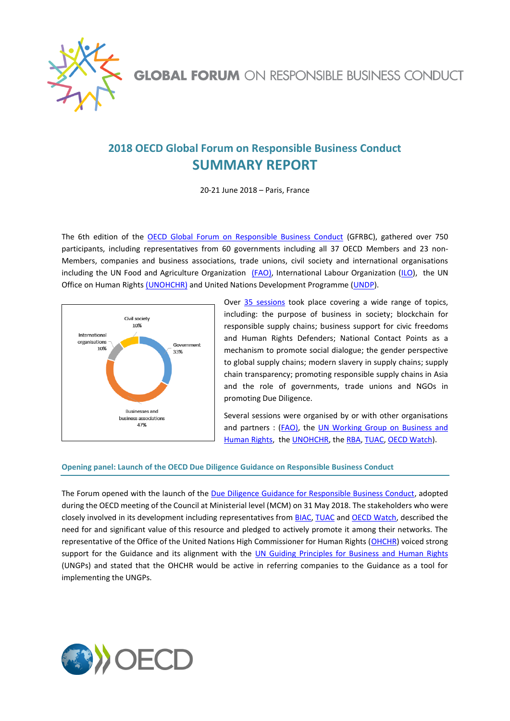

# **2018 OECD Global Forum on Responsible Business Conduct SUMMARY REPORT**

20-21 June 2018 – Paris, France

The 6th edition of the [OECD Global Forum on Responsible Business Conduct](http://mneguidelines.oecd.org/global-forum/) (GFRBC), gathered over 750 participants, including representatives from 60 governments including all 37 OECD Members and 23 non-Members, companies and business associations, trade unions, civil society and international organisations including the UN Food and Agriculture Organization [\(FAO\),](http://www.fao.org/home/en/) International Labour Organization [\(ILO\)](https://www.ilo.org/global/lang--en/index.htm), the UN Office on Human Rights [\(UNOHCHR\)](https://www.ohchr.org/EN/pages/home.aspx) and United Nations Development Programme [\(UNDP\)](http://www.undp.org/content/undp/en/home.html).



Over 35 [sessions](http://mneguidelines.oecd.org/global-forum/2018-GFRBC-Outline.pdf) took place covering a wide range of topics, including: the purpose of business in society; blockchain for responsible supply chains; business support for civic freedoms and Human Rights Defenders; National Contact Points as a mechanism to promote social dialogue; the gender perspective to global supply chains; modern slavery in supply chains; supply chain transparency; promoting responsible supply chains in Asia and the role of governments, trade unions and NGOs in promoting Due Diligence.

Several sessions were organised by or with other organisations and partners : [\(FAO\),](http://www.fao.org/home/en/) the [UN Working Group on Business and](http://www.ohchr.org/EN/Issues/Business/Pages/WGHRandtransnationalcorporationsandotherbusiness.aspx)  [Human Rights,](http://www.ohchr.org/EN/Issues/Business/Pages/WGHRandtransnationalcorporationsandotherbusiness.aspx) the [UNOHCHR,](https://www.ohchr.org/) th[e RBA,](http://www.responsiblebusiness.org/) [TUAC,](https://tuac.org/) [OECD Watch\)](https://www.oecdwatch.org/).

## **Opening panel: Launch of the OECD Due Diligence Guidance on Responsible Business Conduct**

The Forum opened with the launch of the [Due Diligence Guidance for Responsible Business Conduct,](http://www.oecd.org/investment/due-diligence-guidance-for-responsible-business-conduct.htm) adopted during the OECD meeting of the Council at Ministerial level (MCM) on 31 May 2018. The stakeholders who were closely involved in its development including representatives fro[m BIAC,](http://biac.org/) [TUAC](https://tuac.org/) and [OECD Watch,](https://www.oecdwatch.org/) described the need for and significant value of this resource and pledged to actively promote it among their networks. The representative of the Office of the United Nations High Commissioner for Human Rights [\(OHCHR\)](https://www.ohchr.org/EN/pages/home.aspx) voiced strong support for the Guidance and its alignment with the [UN Guiding Principles for Business and Human Rights](https://www.ohchr.org/Documents/Publications/GuidingPrinciplesBusinessHR_EN.pdf) (UNGPs) and stated that the OHCHR would be active in referring companies to the Guidance as a tool for implementing the UNGPs.

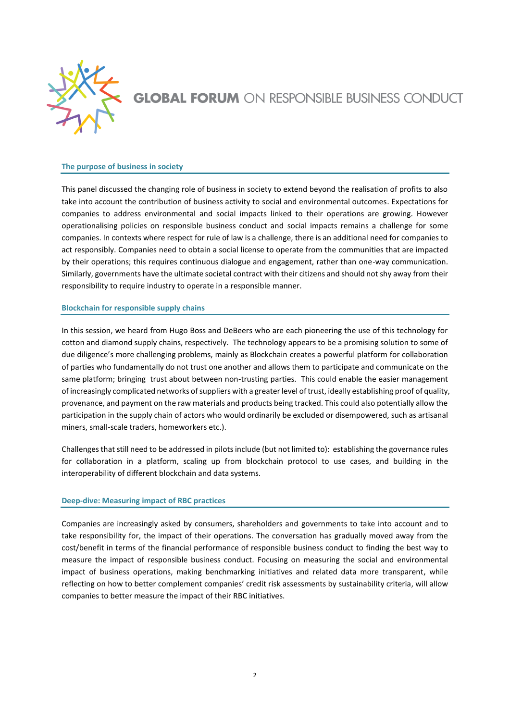

## **The purpose of business in society**

This panel discussed the changing role of business in society to extend beyond the realisation of profits to also take into account the contribution of business activity to social and environmental outcomes. Expectations for companies to address environmental and social impacts linked to their operations are growing. However operationalising policies on responsible business conduct and social impacts remains a challenge for some companies. In contexts where respect for rule of law is a challenge, there is an additional need for companies to act responsibly. Companies need to obtain a social license to operate from the communities that are impacted by their operations; this requires continuous dialogue and engagement, rather than one-way communication. Similarly, governments have the ultimate societal contract with their citizens and should not shy away from their responsibility to require industry to operate in a responsible manner.

#### **Blockchain for responsible supply chains**

In this session, we heard from Hugo Boss and DeBeers who are each pioneering the use of this technology for cotton and diamond supply chains, respectively. The technology appears to be a promising solution to some of due diligence's more challenging problems, mainly as Blockchain creates a powerful platform for collaboration of parties who fundamentally do not trust one another and allows them to participate and communicate on the same platform; bringing trust about between non-trusting parties. This could enable the easier management of increasingly complicated networks of suppliers with a greater level of trust, ideally establishing proof of quality, provenance, and payment on the raw materials and products being tracked. This could also potentially allow the participation in the supply chain of actors who would ordinarily be excluded or disempowered, such as artisanal miners, small-scale traders, homeworkers etc.).

Challenges that still need to be addressed in pilots include (but not limited to): establishing the governance rules for collaboration in a platform, scaling up from blockchain protocol to use cases, and building in the interoperability of different blockchain and data systems.

## **Deep-dive: Measuring impact of RBC practices**

Companies are increasingly asked by consumers, shareholders and governments to take into account and to take responsibility for, the impact of their operations. The conversation has gradually moved away from the cost/benefit in terms of the financial performance of responsible business conduct to finding the best way to measure the impact of responsible business conduct. Focusing on measuring the social and environmental impact of business operations, making benchmarking initiatives and related data more transparent, while reflecting on how to better complement companies' credit risk assessments by sustainability criteria, will allow companies to better measure the impact of their RBC initiatives.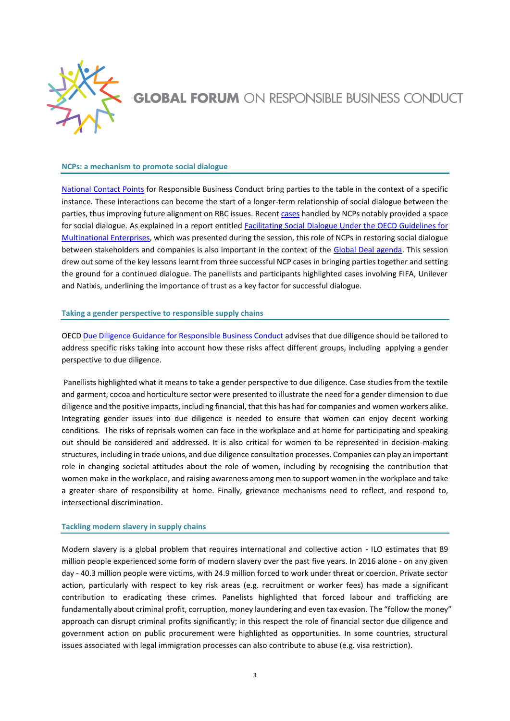

### **NCPs: a mechanism to promote social dialogue**

[National Contact Points](http://mneguidelines.oecd.org/ncps/) for Responsible Business Conduct bring parties to the table in the context of a specific instance. These interactions can become the start of a longer-term relationship of social dialogue between the parties, thus improving future alignment on RBC issues. Recen[t cases](https://mneguidelines.oecd.org/Flyer-OECD-National-Contact-Points.pdf) handled by NCPs notably provided a space for social dialogue. As explained in a report entitled [Facilitating Social Dialogue Under the OECD Guidelines for](http://www.oecd.org/investment/mne/Facilitating-social-dialogue-under-the-OECD-Guidelines-for-MNEs.pdf)  [Multinational Enterprises,](http://www.oecd.org/investment/mne/Facilitating-social-dialogue-under-the-OECD-Guidelines-for-MNEs.pdf) which was presented during the session, this role of NCPs in restoring social dialogue between stakeholders and companies is also important in the context of the [Global Deal agenda.](http://www.theglobaldeal.com/app/uploads/2018/05/GLOBAL-DEAL-FLAGSHIP-REPORT-2018.pdf) This session drew out some of the key lessons learnt from three successful NCP cases in bringing parties together and setting the ground for a continued dialogue. The panellists and participants highlighted cases involving FIFA, Unilever and Natixis, underlining the importance of trust as a key factor for successful dialogue.

### **Taking a gender perspective to responsible supply chains**

OECD [Due Diligence Guidance for Responsible Business Conduct](http://www.oecd.org/investment/due-diligence-guidance-for-responsible-business-conduct.htm) advises that due diligence should be tailored to address specific risks taking into account how these risks affect different groups, including applying a gender perspective to due diligence.

Panellists highlighted what it means to take a gender perspective to due diligence. Case studies from the textile and garment, cocoa and horticulture sector were presented to illustrate the need for a gender dimension to due diligence and the positive impacts, including financial, that this has had for companies and women workers alike. Integrating gender issues into due diligence is needed to ensure that women can enjoy decent working conditions. The risks of reprisals women can face in the workplace and at home for participating and speaking out should be considered and addressed. It is also critical for women to be represented in decision-making structures, including in trade unions, and due diligence consultation processes. Companies can play an important role in changing societal attitudes about the role of women, including by recognising the contribution that women make in the workplace, and raising awareness among men to support women in the workplace and take a greater share of responsibility at home. Finally, grievance mechanisms need to reflect, and respond to, intersectional discrimination.

#### **Tackling modern slavery in supply chains**

Modern slavery is a global problem that requires international and collective action - ILO estimates that 89 million people experienced some form of modern slavery over the past five years. In 2016 alone - on any given day - 40.3 million people were victims, with 24.9 million forced to work under threat or coercion. Private sector action, particularly with respect to key risk areas (e.g. recruitment or worker fees) has made a significant contribution to eradicating these crimes. Panelists highlighted that forced labour and trafficking are fundamentally about criminal profit, corruption, money laundering and even tax evasion. The "follow the money" approach can disrupt criminal profits significantly; in this respect the role of financial sector due diligence and government action on public procurement were highlighted as opportunities. In some countries, structural issues associated with legal immigration processes can also contribute to abuse (e.g. visa restriction).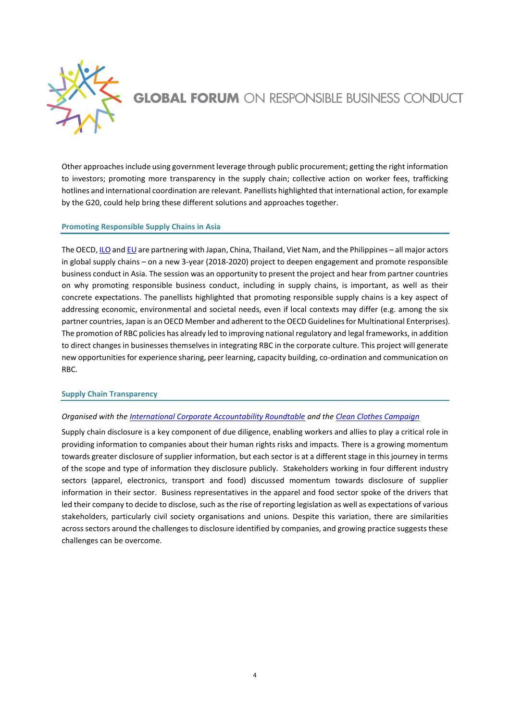

Other approaches include using government leverage through public procurement; getting the right information to investors; promoting more transparency in the supply chain; collective action on worker fees, trafficking hotlines and international coordination are relevant. Panellists highlighted that international action, for example by the G20, could help bring these different solutions and approaches together.

## **Promoting Responsible Supply Chains in Asia**

The OECD[, ILO](https://www.ilo.org/global/lang--en/index.htm) an[d EU](https://europa.eu/european-union/index_en) are partnering with Japan, China, Thailand, Viet Nam, and the Philippines – all major actors in global supply chains – on a new 3-year (2018-2020) project to deepen engagement and promote responsible business conduct in Asia. The session was an opportunity to present the project and hear from partner countries on why promoting responsible business conduct, including in supply chains, is important, as well as their concrete expectations. The panellists highlighted that promoting responsible supply chains is a key aspect of addressing economic, environmental and societal needs, even if local contexts may differ (e.g. among the six partner countries, Japan is an OECD Member and adherent to the OECD Guidelines for Multinational Enterprises). The promotion of RBC policies has already led to improving national regulatory and legal frameworks, in addition to direct changes in businesses themselves in integrating RBC in the corporate culture. This project will generate new opportunitiesfor experience sharing, peer learning, capacity building, co-ordination and communication on RBC.

## **Supply Chain Transparency**

# *Organised with th[e International Corporate Accountability Roundtable](https://www.icar.ngo/) and the [Clean Clothes Campaign](https://cleanclothes.org/)*

Supply chain disclosure is a key component of due diligence, enabling workers and allies to play a critical role in providing information to companies about their human rights risks and impacts. There is a growing momentum towards greater disclosure of supplier information, but each sector is at a different stage in this journey in terms of the scope and type of information they disclosure publicly. Stakeholders working in four different industry sectors (apparel, electronics, transport and food) discussed momentum towards disclosure of supplier information in their sector. Business representatives in the apparel and food sector spoke of the drivers that led their company to decide to disclose, such as the rise of reporting legislation as well as expectations of various stakeholders, particularly civil society organisations and unions. Despite this variation, there are similarities across sectors around the challenges to disclosure identified by companies, and growing practice suggests these challenges can be overcome.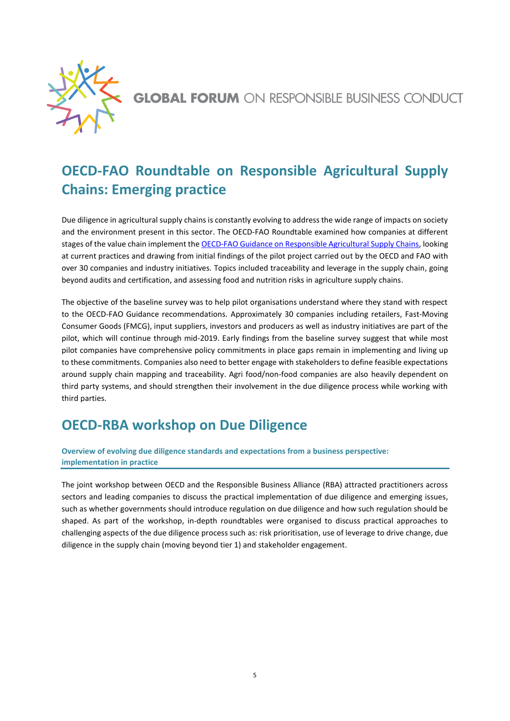

# **OECD-FAO Roundtable on Responsible Agricultural Supply Chains: Emerging practice**

Due diligence in agricultural supply chains is constantly evolving to address the wide range of impacts on society and the environment present in this sector. The OECD-FAO Roundtable examined how companies at different stages of the value chain implement th[e OECD-FAO Guidance on Responsible Agricultural Supply Chains,](mailto:https://mneguidelines.oecd.org/rbc-agriculture-supply-chains.htm) looking at current practices and drawing from initial findings of the pilot project carried out by the OECD and FAO with over 30 companies and industry initiatives. Topics included traceability and leverage in the supply chain, going beyond audits and certification, and assessing food and nutrition risks in agriculture supply chains.

The objective of the baseline survey was to help pilot organisations understand where they stand with respect to the OECD-FAO Guidance recommendations. Approximately 30 companies including retailers, Fast-Moving Consumer Goods (FMCG), input suppliers, investors and producers as well as industry initiatives are part of the pilot, which will continue through mid-2019. Early findings from the baseline survey suggest that while most pilot companies have comprehensive policy commitments in place gaps remain in implementing and living up to these commitments. Companies also need to better engage with stakeholders to define feasible expectations around supply chain mapping and traceability. Agri food/non-food companies are also heavily dependent on third party systems, and should strengthen their involvement in the due diligence process while working with third parties.

# **OECD-RBA workshop on Due Diligence**

**Overview of evolving due diligence standards and expectations from a business perspective: implementation in practice**

The joint workshop between OECD and the Responsible Business Alliance (RBA) attracted practitioners across sectors and leading companies to discuss the practical implementation of due diligence and emerging issues, such as whether governments should introduce regulation on due diligence and how such regulation should be shaped. As part of the workshop, in-depth roundtables were organised to discuss practical approaches to challenging aspects of the due diligence process such as: risk prioritisation, use of leverage to drive change, due diligence in the supply chain (moving beyond tier 1) and stakeholder engagement.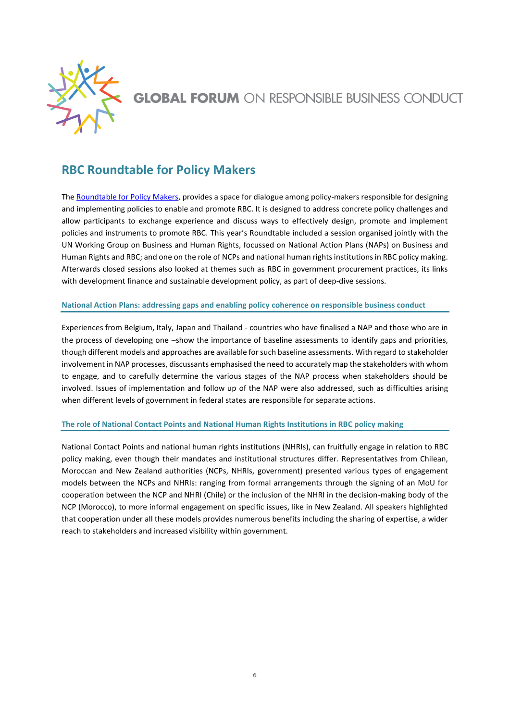

# **RBC Roundtable for Policy Makers**

Th[e Roundtable for Policy Makers,](https://portal.oecd.org/eshare/daf/pc/Deliverables/GFRBC-18/Programme/Roundtable%20for%20Policy%20Makers) provides a space for dialogue among policy-makers responsible for designing and implementing policies to enable and promote RBC. It is designed to address concrete policy challenges and allow participants to exchange experience and discuss ways to effectively design, promote and implement policies and instruments to promote RBC. This year's Roundtable included a session organised jointly with the UN Working Group on Business and Human Rights, focussed on National Action Plans (NAPs) on Business and Human Rights and RBC; and one on the role of NCPs and national human rights institutions in RBC policy making. Afterwards closed sessions also looked at themes such as RBC in government procurement practices, its links with development finance and sustainable development policy, as part of deep-dive sessions.

# **National Action Plans: addressing gaps and enabling policy coherence on responsible business conduct**

Experiences from Belgium, Italy, Japan and Thailand - countries who have finalised a NAP and those who are in the process of developing one –show the importance of baseline assessments to identify gaps and priorities, though different models and approaches are available for such baseline assessments. With regard to stakeholder involvement in NAP processes, discussants emphasised the need to accurately map the stakeholders with whom to engage, and to carefully determine the various stages of the NAP process when stakeholders should be involved. Issues of implementation and follow up of the NAP were also addressed, such as difficulties arising when different levels of government in federal states are responsible for separate actions.

# **The role of National Contact Points and National Human Rights Institutions in RBC policy making**

National Contact Points and national human rights institutions (NHRIs), can fruitfully engage in relation to RBC policy making, even though their mandates and institutional structures differ. Representatives from Chilean, Moroccan and New Zealand authorities (NCPs, NHRIs, government) presented various types of engagement models between the NCPs and NHRIs: ranging from formal arrangements through the signing of an MoU for cooperation between the NCP and NHRI (Chile) or the inclusion of the NHRI in the decision-making body of the NCP (Morocco), to more informal engagement on specific issues, like in New Zealand. All speakers highlighted that cooperation under all these models provides numerous benefits including the sharing of expertise, a wider reach to stakeholders and increased visibility within government.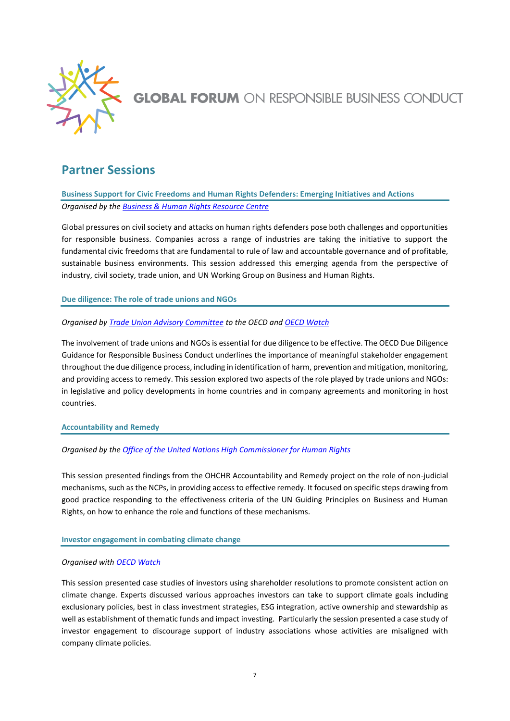

# **Partner Sessions**

**Business Support for Civic Freedoms and Human Rights Defenders: Emerging Initiatives and Actions** *Organised by the [Business & Human Rights Resource Centre](https://www.business-humanrights.org/)*

Global pressures on civil society and attacks on human rights defenders pose both challenges and opportunities for responsible business. Companies across a range of industries are taking the initiative to support the fundamental civic freedoms that are fundamental to rule of law and accountable governance and of profitable, sustainable business environments. This session addressed this emerging agenda from the perspective of industry, civil society, trade union, and UN Working Group on Business and Human Rights.

**Due diligence: The role of trade unions and NGOs**

# *Organised b[y Trade Union Advisory Committee](https://tuac.org/) to the OECD an[d OECD Watch](https://www.oecdwatch.org/)*

The involvement of trade unions and NGOs is essential for due diligence to be effective. The OECD Due Diligence Guidance for Responsible Business Conduct underlines the importance of meaningful stakeholder engagement throughout the due diligence process, including in identification of harm, prevention and mitigation, monitoring, and providing access to remedy. This session explored two aspects of the role played by trade unions and NGOs: in legislative and policy developments in home countries and in company agreements and monitoring in host countries.

## **Accountability and Remedy**

*Organised by the [Office of the United Nations High Commissioner for Human Rights](https://www.ohchr.org/)*

This session presented findings from the OHCHR Accountability and Remedy project on the role of non-judicial mechanisms, such as the NCPs, in providing access to effective remedy. It focused on specific steps drawing from good practice responding to the effectiveness criteria of the UN Guiding Principles on Business and Human Rights, on how to enhance the role and functions of these mechanisms.

# **Investor engagement in combating climate change**

# *Organised with [OECD Watch](https://www.oecdwatch.org/)*

This session presented case studies of investors using shareholder resolutions to promote consistent action on climate change. Experts discussed various approaches investors can take to support climate goals including exclusionary policies, best in class investment strategies, ESG integration, active ownership and stewardship as well as establishment of thematic funds and impact investing. Particularly the session presented a case study of investor engagement to discourage support of industry associations whose activities are misaligned with company climate policies.